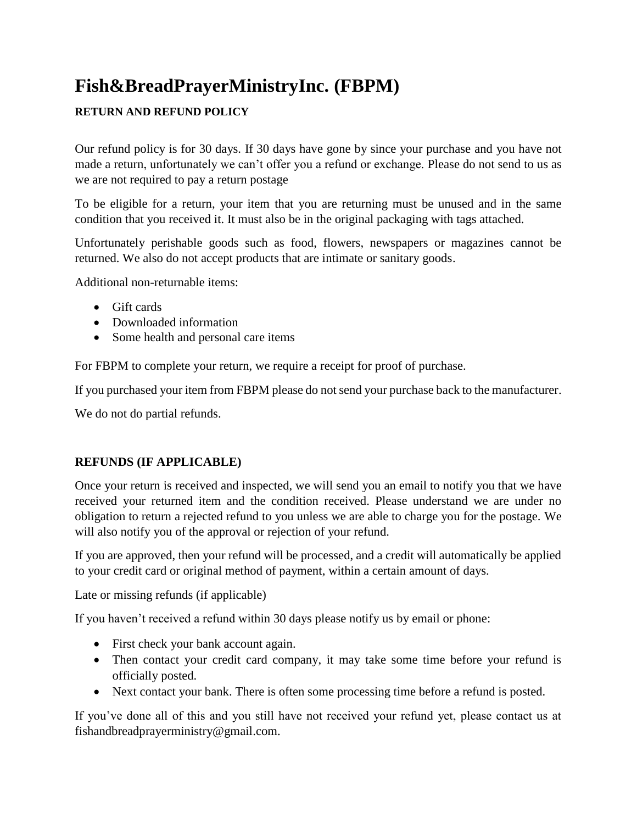# **Fish&BreadPrayerMinistryInc. (FBPM)**

## **RETURN AND REFUND POLICY**

Our refund policy is for 30 days. If 30 days have gone by since your purchase and you have not made a return, unfortunately we can't offer you a refund or exchange. Please do not send to us as we are not required to pay a return postage

To be eligible for a return, your item that you are returning must be unused and in the same condition that you received it. It must also be in the original packaging with tags attached.

Unfortunately perishable goods such as food, flowers, newspapers or magazines cannot be returned. We also do not accept products that are intimate or sanitary goods.

Additional non-returnable items:

- Gift cards
- Downloaded information
- Some health and personal care items

For FBPM to complete your return, we require a receipt for proof of purchase.

If you purchased your item from FBPM please do not send your purchase back to the manufacturer.

We do not do partial refunds.

#### **REFUNDS (IF APPLICABLE)**

Once your return is received and inspected, we will send you an email to notify you that we have received your returned item and the condition received. Please understand we are under no obligation to return a rejected refund to you unless we are able to charge you for the postage. We will also notify you of the approval or rejection of your refund.

If you are approved, then your refund will be processed, and a credit will automatically be applied to your credit card or original method of payment, within a certain amount of days.

Late or missing refunds (if applicable)

If you haven't received a refund within 30 days please notify us by email or phone:

- First check your bank account again.
- Then contact your credit card company, it may take some time before your refund is officially posted.
- Next contact your bank. There is often some processing time before a refund is posted.

If you've done all of this and you still have not received your refund yet, please contact us at fishandbreadprayerministry@gmail.com.